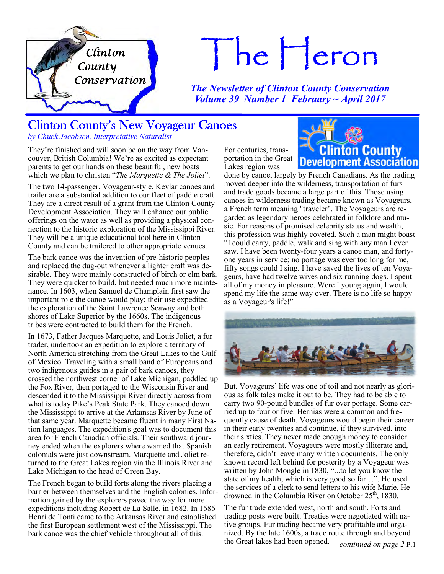

# $The Heron$

*The Newsletter of Clinton County Conservation Volume 39 Number 1 February ~ April 2017*

> For centuries, transportation in the Great Lakes region was

# Clinton County's New Voyageur Canoes

*by Chuck Jacobsen, Interpretative Naturalist*

They're finished and will soon be on the way from Vancouver, British Columbia! We're as excited as expectant parents to get our hands on these beautiful, new boats which we plan to christen "*The Marquette & The Joliet*".

The two 14-passenger, Voyageur-style, Kevlar canoes and trailer are a substantial addition to our fleet of paddle craft. They are a direct result of a grant from the Clinton County Development Association. They will enhance our public offerings on the water as well as providing a physical connection to the historic exploration of the Mississippi River. They will be a unique educational tool here in Clinton County and can be trailered to other appropriate venues.

The bark canoe was the invention of pre-historic peoples and replaced the dug-out whenever a lighter craft was desirable. They were mainly constructed of birch or elm bark. They were quicker to build, but needed much more maintenance. In 1603, when Samuel de Champlain first saw the important role the canoe would play; their use expedited the exploration of the Saint Lawrence Seaway and both shores of Lake Superior by the 1660s. The indigenous tribes were contracted to build them for the French.

In 1673, Father Jacques Marquette, and Louis Joliet, a fur trader, undertook an expedition to explore a territory of North America stretching from the Great Lakes to the Gulf of Mexico. Traveling with a small band of Europeans and two indigenous guides in a pair of bark canoes, they crossed the northwest corner of Lake Michigan, paddled up the Fox River, then portaged to the Wisconsin River and descended it to the Mississippi River directly across from what is today Pike's Peak State Park. They canoed down the Mississippi to arrive at the Arkansas River by June of that same year. Marquette became fluent in many First Nation languages. The expedition's goal was to document this area for French Canadian officials. Their southward journey ended when the explorers where warned that Spanish colonials were just downstream. Marquette and Joliet returned to the Great Lakes region via the Illinois River and Lake Michigan to the head of Green Bay.

The French began to build forts along the rivers placing a barrier between themselves and the English colonies. Information gained by the explorers paved the way for more expeditions including Robert de La Salle, in 1682. In 1686 Henri de Tonti came to the Arkansas River and established the first European settlement west of the Mississippi. The bark canoe was the chief vehicle throughout all of this.

**Clinton County Development Association** 

done by canoe, largely by French Canadians. As the trading moved deeper into the wilderness, transportation of furs and trade goods became a large part of this. Those using canoes in wilderness trading became known as Voyageurs, a French term meaning "traveler". The Voyageurs are regarded as legendary heroes celebrated in folklore and music. For reasons of promised celebrity status and wealth, this profession was highly coveted. Such a man might boast "I could carry, paddle, walk and sing with any man I ever saw. I have been twenty-four years a canoe man, and fortyone years in service; no portage was ever too long for me, fifty songs could I sing. I have saved the lives of ten Voyageurs, have had twelve wives and six running dogs. I spent all of my money in pleasure. Were I young again, I would spend my life the same way over. There is no life so happy as a Voyageur's life!"



But, Voyageurs' life was one of toil and not nearly as glorious as folk tales make it out to be. They had to be able to carry two 90-pound bundles of fur over portage. Some carried up to four or five. Hernias were a common and frequently cause of death. Voyageurs would begin their career in their early twenties and continue, if they survived, into their sixties. They never made enough money to consider an early retirement. Voyageurs were mostly illiterate and, therefore, didn't leave many written documents. The only known record left behind for posterity by a Voyageur was written by John Mongle in 1830, "...to let you know the state of my health, which is very good so far…". He used the services of a clerk to send letters to his wife Marie. He drowned in the Columbia River on October  $25<sup>th</sup>$ , 1830.

The fur trade extended west, north and south. Forts and trading posts were built. Treaties were negotiated with native groups. Fur trading became very profitable and organized. By the late 1600s, a trade route through and beyond the Great lakes had been opened. *continued on page 2* P.1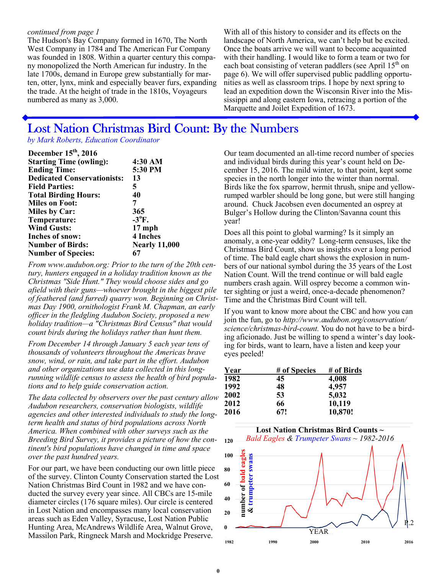#### *continued from page 1*

The Hudson's Bay Company formed in 1670, The North West Company in 1784 and The American Fur Company was founded in 1808. Within a quarter century this company monopolized the North American fur industry. In the late 1700s, demand in Europe grew substantially for marten, otter, lynx, mink and especially beaver furs, expanding the trade. At the height of trade in the 1810s, Voyageurs numbered as many as 3,000.

With all of this history to consider and its effects on the landscape of North America, we can't help but be excited. Once the boats arrive we will want to become acquainted with their handling. I would like to form a team or two for each boat consisting of veteran paddlers (see April  $15<sup>th</sup>$  on page 6). We will offer supervised public paddling opportunities as well as classroom trips. I hope by next spring to lead an expedition down the Wisconsin River into the Mississippi and along eastern Iowa, retracing a portion of the Marquette and Joilet Expedition of 1673.

# Lost Nation Christmas Bird Count: By the Numbers

*by Mark Roberts, Education Coordinator* 

| December 15 <sup>th</sup> , 2016   |                      |
|------------------------------------|----------------------|
| <b>Starting Time (owling):</b>     | 4:30 AM              |
| <b>Ending Time:</b>                | 5:30 PM              |
| <b>Dedicated Conservationists:</b> | 13                   |
| <b>Field Parties:</b>              | 5                    |
| <b>Total Birding Hours:</b>        | 40                   |
| <b>Miles on Foot:</b>              | 7                    |
| <b>Miles by Car:</b>               | 365                  |
| Temperature:                       | $-3$ <sup>o</sup> F. |
| <b>Wind Gusts:</b>                 | $17$ mph             |
| <b>Inches of snow:</b>             | 4 Inches             |
| <b>Number of Birds:</b>            | <b>Nearly 11,000</b> |
| <b>Number of Species:</b>          | 67                   |

*From www.audubon.org: Prior to the turn of the 20th century, hunters engaged in a holiday tradition known as the Christmas "Side Hunt." They would choose sides and go afield with their guns—whoever brought in the biggest pile of feathered (and furred) quarry won. Beginning on Christmas Day 1900, ornithologist Frank M. Chapman, an early officer in the fledgling Audubon Society, proposed a new holiday tradition—a "Christmas Bird Census" that would count birds during the holidays rather than hunt them.* 

*From December 14 through January 5 each year tens of thousands of volunteers throughout the Americas brave snow, wind, or rain, and take part in the effort. Audubon and other organizations use data collected in this longrunning wildlife census to assess the health of bird populations and to help guide conservation action.* 

*The data collected by observers over the past century allow Audubon researchers, conservation biologists, wildlife agencies and other interested individuals to study the longterm health and status of bird populations across North America. When combined with other surveys such as the Breeding Bird Survey, it provides a picture of how the continent's bird populations have changed in time and space over the past hundred years.* 

For our part, we have been conducting our own little piece of the survey. Clinton County Conservation started the Lost Nation Christmas Bird Count in 1982 and we have conducted the survey every year since. All CBCs are 15-mile diameter circles (176 square miles). Our circle is centered in Lost Nation and encompasses many local conservation areas such as Eden Valley, Syracuse, Lost Nation Public Hunting Area, McAndrews Wildlife Area, Walnut Grove, Massilon Park, Ringneck Marsh and Mockridge Preserve.

Our team documented an all-time record number of species and individual birds during this year's count held on December 15, 2016. The mild winter, to that point, kept some species in the north longer into the winter than normal. Birds like the fox sparrow, hermit thrush, snipe and yellowrumped warbler should be long gone, but were still hanging around. Chuck Jacobsen even documented an osprey at Bulger's Hollow during the Clinton/Savanna count this year!

Does all this point to global warming? Is it simply an anomaly, a one-year oddity? Long-term censuses, like the Christmas Bird Count, show us insights over a long period of time. The bald eagle chart shows the explosion in numbers of our national symbol during the 35 years of the Lost Nation Count. Will the trend continue or will bald eagle numbers crash again. Will osprey become a common winter sighting or just a weird, once-a-decade phenomenon? Time and the Christmas Bird Count will tell.

If you want to know more about the CBC and how you can join the fun, go to *http://www.audubon.org/conservation/ science/christmas-bird-count.* You do not have to be a birding aficionado. Just be willing to spend a winter's day looking for birds, want to learn, have a listen and keep your eyes peeled!

| Year | # of Species | # of Birds |
|------|--------------|------------|
| 1982 | 45           | 4,008      |
| 1992 | 48           | 4,957      |
| 2002 | 53           | 5,032      |
| 2012 | 66           | 10,119     |
| 2016 | 67!          | 10,870!    |

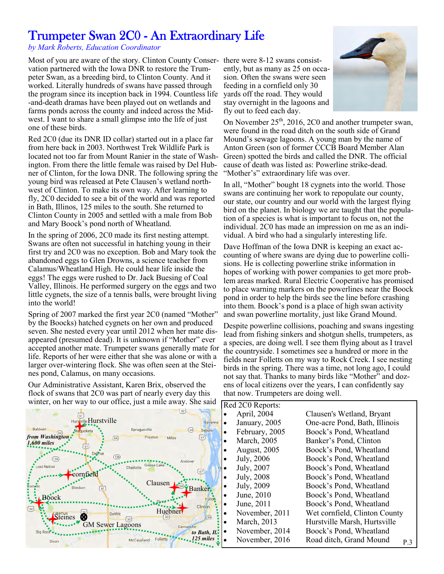# Trumpeter Swan 2C0 - An Extraordinary Life

*by Mark Roberts, Education Coordinator* 

Most of you are aware of the story. Clinton County Conser-there were 8-12 swans consistvation partnered with the Iowa DNR to restore the Trumpeter Swan, as a breeding bird, to Clinton County. And it worked. Literally hundreds of swans have passed through the program since its inception back in 1994. Countless life -and-death dramas have been played out on wetlands and farms ponds across the county and indeed across the Midwest.  $\hat{I}$  want to share a small glimpse into the life of just one of these birds.

Red 2C0 (due its DNR ID collar) started out in a place far from here back in 2003. Northwest Trek Wildlife Park is located not too far from Mount Ranier in the state of Washington. From there the little female was raised by Del Hubner of Clinton, for the Iowa DNR. The following spring the young bird was released at Pete Clausen's wetland northwest of Clinton. To make its own way. After learning to fly, 2C0 decided to see a bit of the world and was reported in Bath, Illinos, 125 miles to the south. She returned to Clinton County in 2005 and settled with a male from Bob and Mary Boock's pond north of Wheatland.

In the spring of 2006, 2C0 made its first nesting attempt. Swans are often not successful in hatching young in their first try and 2C0 was no exception. Bob and Mary took the abandoned eggs to Glen Drowns, a science teacher from Calamus/Wheatland High. He could hear life inside the eggs! The eggs were rushed to Dr. Jack Buesing of Coal Valley, Illinois. He performed surgery on the eggs and two little cygnets, the size of a tennis balls, were brought living into the world!

Spring of 2007 marked the first year 2C0 (named "Mother" by the Boocks) hatched cygnets on her own and produced seven. She nested every year until 2012 when her mate disappeared (presumed dead). It is unknown if "Mother" ever accepted another mate. Trumpeter swans generally mate for life. Reports of her were either that she was alone or with a larger over-wintering flock. She was often seen at the Steines pond, Calamus, on many occasions.

Our Administrative Assistant, Karen Brix, observed the flock of swans that 2C0 was part of nearly every day this winter on her way to sure of the limit of the Cl on her way to  $\alpha$ 

ently, but as many as 25 on occasion. Often the swans were seen feeding in a cornfield only 30 yards off the road. They would stay overnight in the lagoons and fly out to feed each day.



On November 25<sup>th</sup>, 2016, 2C0 and another trumpeter swan, were found in the road ditch on the south side of Grand Mound's sewage lagoons. A young man by the name of Anton Green (son of former CCCB Board Member Alan Green) spotted the birds and called the DNR. The official cause of death was listed as: Powerline strike-dead. "Mother's" extraordinary life was over.

In all, "Mother" bought 18 cygnets into the world. Those swans are continuing her work to repopulate our county, our state, our country and our world with the largest flying bird on the planet. In biology we are taught that the population of a species is what is important to focus on, not the individual. 2C0 has made an impression on me as an individual. A bird who had a singularly interesting life.

Dave Hoffman of the Iowa DNR is keeping an exact accounting of where swans are dying due to powerline collisions. He is collecting powerline strike information in hopes of working with power companies to get more problem areas marked. Rural Electric Cooperative has promised to place warning markers on the powerlines near the Boock pond in order to help the birds see the line before crashing into them. Boock's pond is a place of high swan activity and swan powerline mortality, just like Grand Mound.

Despite powerline collisions, poaching and swans ingesting lead from fishing sinkers and shotgun shells, trumpeters, as a species, are doing well. I see them flying about as I travel the countryside. I sometimes see a hundred or more in the fields near Folletts on my way to Rock Creek. I see nesting birds in the spring. There was a time, not long ago, I could not say that. Thanks to many birds like "Mother" and dozens of local citizens over the years, I can confidently say that now. Trumpeters are doing well.

| winter, on her way to our office, just a mile away. She said              | Red 2C0 Reports: |                     |                                |
|---------------------------------------------------------------------------|------------------|---------------------|--------------------------------|
|                                                                           |                  | April, 2004         | Clausen's Wetland, Bryant      |
| Hurswille Hurstville<br>Savanna                                           |                  | January, 2005       | One-acre Pond, Bath, Illinois  |
| Baldwin<br>Spragueville<br>(64)<br>Sabula<br>Mahuoketa<br>from Washington | $\bullet$        | February, 2005      | Boock's Pond, Wheatland        |
| [67]<br>Preston<br><b>Miles</b><br>(64)<br>1,600 miles                    | ٠                | March, 2005         | Banker's Pond, Clinton         |
|                                                                           |                  | <b>August, 2005</b> | Boock's Pond, Wheatland        |
| (136)<br>Andover                                                          |                  | July, 2006          | Boock's Pond, Wheatland        |
| Charlotte Goose Lake<br><b>Lost Nation</b><br>67                          |                  | July, 2007          | Boock's Pond, Wheatland        |
| rntield                                                                   | ٠                | July, 2008          | Boock's Pond, Wheatland        |
| Clausen<br>liedorn<br>Banker.                                             | $\bullet$        | July, 2009          | Boock's Pond, Wheatland        |
| <b>Boock</b>                                                              |                  | June, 2010          | Boock's Pond, Wheatland        |
| Clinton<br>(30)                                                           |                  | June, 2011          | Boock's Pond, Wheatland        |
| Huebner<br><b>DeWitt</b><br>∞<br>Steines<br>84)                           |                  | November, 2011      | Wet cornfield, Clinton County  |
| <b>GM</b> Sewer Lagoons<br>Camanche                                       |                  | March, 2013         | Hurstville Marsh, Hurtsville   |
| Big Rock<br>to Bath, Il.                                                  |                  | November, 2014      | Boock's Pond, Wheatland        |
| 125 miles<br>Folletts<br>McCausland<br>Dixon                              |                  | November, 2016      | Road ditch, Grand Mound<br>P.3 |
|                                                                           |                  |                     |                                |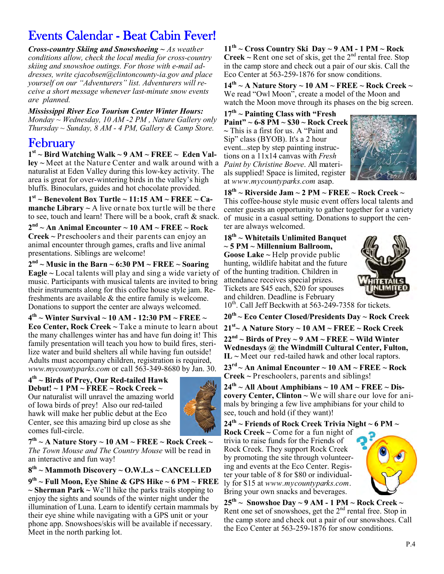# Events Calendar - Beat Cabin Fever!

*Cross-country Skiing and Snowshoeing ~ As weather conditions allow, check the local media for cross-country skiing and snowshoe outings. For those with e-mail addresses, write cjacobsen@clintoncounty-ia.gov and place yourself on our "Adventurers" list. Adventurers will receive a short message whenever last-minute snow events are planned.* 

*Mississippi River Eco Tourism Center Winter Hours: Monday ~ Wednesday, 10 AM -2 PM , Nature Gallery only Thursday ~ Sunday, 8 AM - 4 PM, Gallery & Camp Store.* 

## February

**1 st ~ Bird Watching Walk ~ 9 AM ~ FREE ~ Eden Valley ~** Meet at the Nature Center and walk around with a naturalist at Eden Valley during this low-key activity. The area is great for over-wintering birds in the valley's high bluffs. Binoculars, guides and hot chocolate provided.

**1 st ~ Benevolent Box Turtle ~ 11:15 AM ~ FREE ~ Camanche Library**  $\sim$  A live ornate box turtle will be there to see, touch and learn! There will be a book, craft & snack.

**2 nd ~ An Animal Encounter ~ 10 AM ~ FREE ~ Rock Creek ~** Preschoolers and their parents can enjoy an animal encounter through games, crafts and live animal presentations. Siblings are welcome!

 $2<sup>nd</sup>$  ~ Music in the Barn ~ 6:30 PM ~ FREE ~ Soaring **Eagle ~** Local talents will play and sing a wide variety of music. Participants with musical talents are invited to bring their instruments along for this coffee house style jam. Refreshments are available & the entire family is welcome. Donations to support the center are always welcomed.

**4 th ~ Winter Survival ~ 10 AM - 12:30 PM ~ FREE ~ Eco Center, Rock Creek ~** Take a minute to learn about the many challenges winter has and have fun doing it! This family presentation will teach you how to build fires, sterilize water and build shelters all while having fun outside! Adults must accompany children, registration is required, *www.mycountyparks.com* or call 563-349-8680 by Jan. 30.

**4 th ~ Birds of Prey, Our Red-tailed Hawk Debut! ~ 1 PM ~ FREE ~ Rock Creek ~** 

Our naturalist will unravel the amazing world of Iowa birds of prey! Also our red-tailed hawk will make her public debut at the Eco Center, see this amazing bird up close as she comes full-circle.



**7 th ~ A Nature Story ~ 10 AM ~ FREE ~ Rock Creek ~**  *The Town Mouse and The Country Mouse* will be read in an interactive and fun way!

**8 th ~ Mammoth Discovery ~ O.W.L.s ~ CANCELLED**

**9 th ~ Full Moon, Eye Shine & GPS Hike ~ 6 PM ~ FREE ~ Sherman Park ~** We'll hike the parks trails stopping to enjoy the sights and sounds of the winter night under the illumination of Luna. Learn to identify certain mammals by their eye shine while navigating with a GPS unit or your phone app. Snowshoes/skis will be available if necessary. Meet in the north parking lot.

 $11<sup>th</sup>$  ~ Cross Country Ski Day ~ 9 AM - 1 PM ~ Rock **Creek** ~ Rent one set of skis, get the  $2<sup>nd</sup>$  rental free. Stop in the camp store and check out a pair of our skis. Call the Eco Center at 563-259-1876 for snow conditions.

**14th ~ A Nature Story ~ 10 AM ~ FREE ~ Rock Creek ~**  We read "Owl Moon", create a model of the Moon and watch the Moon move through its phases on the big screen.

**17th ~ Painting Class with "Fresh Paint" ~ 6-8 PM ~ \$30 ~ Rock Creek ~** This is a first for us. A "Paint and Sip" class (BYOB). It's a 2 hour event...step by step painting instructions on a 11x14 canvas with *Fresh Paint by Christine Boeve*. All materials supplied! Space is limited, register at *www.mycountyparks.com* asap.



**18th ~ Riverside Jam ~ 2 PM ~ FREE ~ Rock Creek ~**  This coffee-house style music event offers local talents and center guests an opportunity to gather together for a variety of music in a casual setting. Donations to support the center are always welcomed.

**18th ~ Whitetails Unlimited Banquet ~ 5 PM ~ Millennium Ballroom, Goose Lake ~** Help provide public hunting, wildlife habitat and the future of the hunting tradition. Children in attendance receives special prizes. Tickets are \$45 each, \$20 for spouses and children. Deadline is February



10<sup>th</sup>. Call Jeff Beckwith at 563-249-7358 for tickets.

**20th ~ Eco Center Closed/Presidents Day ~ Rock Creek 21st~ A Nature Story ~ 10 AM ~ FREE ~ Rock Creek**  $22<sup>nd</sup>$  ~ Birds of Prey ~ 9 AM ~ FREE ~ Wild Winter **Wednesdays @ the Windmill Cultural Center, Fulton, IL ~** Meet our red-tailed hawk and other local raptors.

 $23<sup>rd</sup>$   $\sim$  An Animal Encounter  $\sim$  10 AM  $\sim$  FREE  $\sim$  Rock **Creek ~** Preschoolers, parents and siblings!

 $24^{th}$  ~ All About Amphibians ~ 10 AM ~ FREE ~ Dis**covery Center, Clinton ~** We will share our love for animals by bringing a few live amphibians for your child to see, touch and hold (if they want)!

**24th ~ Friends of Rock Creek Trivia Night ~ 6 PM ~ Rock Creek ~** Come for a fun night of trivia to raise funds for the Friends of Rock Creek. They support Rock Creek by promoting the site through volunteering and events at the Eco Center. Register your table of 8 for \$80 or individual-

ly for \$15 at *www.mycountyparks.com*. Bring your own snacks and beverages.



**25th ~ Snowshoe Day ~ 9 AM - 1 PM ~ Rock Creek ~**  Rent one set of snowshoes, get the  $2<sup>nd</sup>$  rental free. Stop in the camp store and check out a pair of our snowshoes. Call the Eco Center at 563-259-1876 for snow conditions.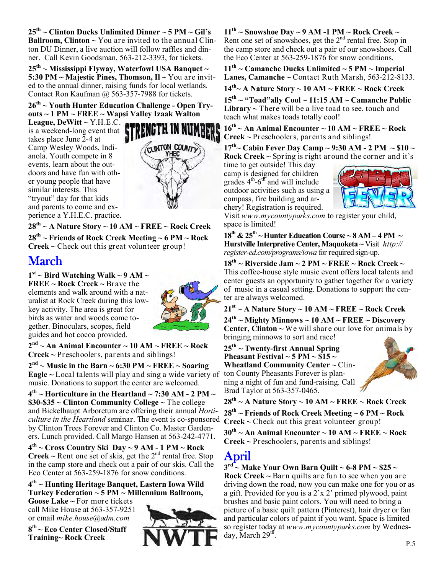**25th ~ Clinton Ducks Unlimited Dinner ~ 5 PM ~ Gil's Ballroom, Clinton ~** You are invited to the annual Clinton DU Dinner, a live auction will follow raffles and dinner. Call Kevin Goodsman, 563-212-3393, for tickets.

**25th ~ Mississippi Flyway, Waterfowl USA Banquet ~ 5:30 PM ~ Majestic Pines, Thomson, Il ~** You are invited to the annual dinner, raising funds for local wetlands. Contact Ron Kaufman @ 563-357-7988 for tickets.

**26th ~ Youth Hunter Education Challenge - Open Tryouts ~ 1 PM ~ FREE ~ Wapsi Valley Izaak Walton** 

**League, DeWitt ~** Y.H.E.C. is a weekend-long event that takes place June  $2-4$  at Camp Wesley Woods, Indianola. Youth compete in 8 events, learn about the outdoors and have fun with other young people that have similar interests. This "tryout" day for that kids and parents to come and experience a Y.H.E.C. practice.



**28th ~ A Nature Story ~ 10 AM ~ FREE ~ Rock Creek**

**28th ~ Friends of Rock Creek Meeting ~ 6 PM ~ Rock Creek ~** Check out this great volunteer group!

# March

 $1<sup>st</sup>$  ~ Bird Watching Walk ~ 9 AM ~ **FREE ~ Rock Creek ~** Brave the elements and walk around with a naturalist at Rock Creek during this lowkey activity. The area is great for birds as water and woods come together. Binoculars, scopes, field guides and hot cocoa provided.



**2 nd ~ An Animal Encounter ~ 10 AM ~ FREE ~ Rock Creek ~** Preschoolers, parents and siblings!

 $2<sup>nd</sup>$  ~ Music in the Barn ~ 6:30 PM ~ FREE ~ Soaring **Eagle ~** Local talents will play and sing a wide variety of music. Donations to support the center are welcomed.

**4 th ~ Horticulture in the Heartland ~ 7:30 AM - 2 PM ~ \$30-\$35 ~ Clinton Community College ~** The college and Bickelhaupt Arboretum are offering their annual *Horticulture in the Heartland* seminar. The event is co-sponsored by Clinton Trees Forever and Clinton Co. Master Gardeners. Lunch provided. Call Margo Hansen at 563-242-4771.

**4 th ~ Cross Country Ski Day ~ 9 AM - 1 PM ~ Rock Creek** ~ Rent one set of skis, get the  $2<sup>nd</sup>$  rental free. Stop in the camp store and check out a pair of our skis. Call the Eco Center at 563-259-1876 for snow conditions.

**4 th ~ Hunting Heritage Banquet, Eastern Iowa Wild Turkey Federation ~ 5 PM ~ Millennium Ballroom,** 

**Goose Lake ~** For more tickets call Mike House at 563-357-9251 or email *mike.house@adm.com*

**8 th ~ Eco Center Closed/Staff Training~ Rock Creek** 



**11th ~ Snowshoe Day ~ 9 AM -1 PM ~ Rock Creek ~**  Rent one set of snowshoes, get the  $2<sup>nd</sup>$  rental free. Stop in the camp store and check out a pair of our snowshoes. Call the Eco Center at 563-259-1876 for snow conditions.

**11th ~ Camanche Ducks Unlimited ~ 5 PM ~ Imperial Lanes, Camanche**  $\sim$  Contact Ruth Marsh, 563-212-8133.

**14th~ A Nature Story ~ 10 AM ~ FREE ~ Rock Creek**

**15th ~ "Toad"ally Cool ~ 11:15 AM ~ Camanche Public Library**  $\sim$  There will be a live toad to see, touch and teach what makes toads totally cool!

 $16^{th}$   $\sim$  An Animal Encounter  $\sim$  10 AM  $\sim$  FREE  $\sim$  Rock **Creek ~** Preschoolers, parents and siblings!

 $17^{th}$   $\sim$  Cabin Fever Day Camp  $\sim$  9:30 AM - 2 PM  $\sim$  \$10  $\sim$ **Rock Creek ~** Spring is right around the corner and it's

time to get outside! This day camp is designed for children grades  $4^{th}$ - $6^{th}$  and will include outdoor activities such as using a compass, fire building and archery! Registration is required.



Visit *www.mycountyparks.com* to register your child, space is limited!

 $18^{th}$  &  $25^{th}$  ~ Hunter Education Course ~ 8 AM – 4 PM  $\sim$ **Hurstville Interpretive Center, Maquoketa ~** Visit *http:// register-ed.com/programs/iowa* for required sign-up.

**18th ~ Riverside Jam ~ 2 PM ~ FREE ~ Rock Creek ~**  This coffee-house style music event offers local talents and center guests an opportunity to gather together for a variety of music in a casual setting. Donations to support the center are always welcomed.

**21st ~ A Nature Story ~ 10 AM ~ FREE ~ Rock Creek**

**24th ~ Mighty Minnows ~ 10 AM ~ FREE ~ Discovery Center, Clinton**  $\sim$  We will share our love for animals by bringing minnows to sort and race!

**25th ~ Twenty-first Annual Spring Pheasant Festival ~ 5 PM ~**  $\hat{\text{S}}15$  **~ Wheatland Community Center ~** Clinton County Pheasants Forever is planning a night of fun and fund-raising. Call Brad Taylor at 563-357-0465.



**28th ~ A Nature Story ~ 10 AM ~ FREE ~ Rock Creek 28th ~ Friends of Rock Creek Meeting ~ 6 PM ~ Rock** 

**Creek ~** Check out this great volunteer group!

**30th ~ An Animal Encounter ~ 10 AM ~ FREE ~ Rock Creek ~** Preschoolers, parents and siblings!

# April

**3 rd ~ Make Your Own Barn Quilt ~ 6-8 PM ~ \$25 ~** 

**Rock Creek ~** Barn quilts are fun to see when you are driving down the road, now you can make one for you or as a gift. Provided for you is a 2'x 2' primed plywood, paint brushes and basic paint colors. You will need to bring a picture of a basic quilt pattern (Pinterest), hair dryer or fan and particular colors of paint if you want. Space is limited so register today at *www.mycountyparks.com* by Wednesday, March  $29^{\text{th}}$ .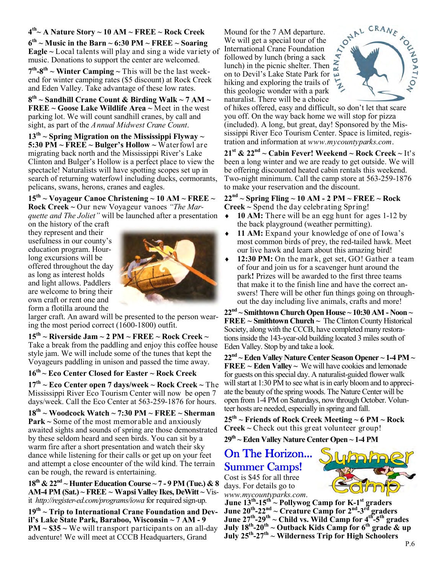## **4 th~ A Nature Story ~ 10 AM ~ FREE ~ Rock Creek**

 $6^{th}$  ~ Music in the Barn ~ 6:30 PM ~ FREE ~ Soaring **Eagle ~** Local talents will play and sing a wide variety of music. Donations to support the center are welcomed.

 $7<sup>th</sup>$ -8<sup>th</sup> ~ Winter Camping ~ This will be the last weekend for winter camping rates (\$5 discount) at Rock Creek and Eden Valley. Take advantage of these low rates.

**8 th ~ Sandhill Crane Count & Birding Walk ~ 7 AM ~ FREE ~ Goose Lake Wildlife Area ~** Meet in the west parking lot. We will count sandhill cranes, by call and sight, as part of the *Annual Midwest Crane Count*.

**13th ~ Spring Migration on the Mississippi Flyway ~ 5:30 PM ~ FREE ~ Bulger's Hollow ~** Waterfowl are migrating back north and the Mississippi River's Lake Clinton and Bulger's Hollow is a perfect place to view the spectacle! Naturalists will have spotting scopes set up in search of returning waterfowl including ducks, cormorants, pelicans, swans, herons, cranes and eagles.

**15th ~ Voyageur Canoe Christening ~ 10 AM ~ FREE ~ Rock Creek ~** Our new Voyageur vanoes *"The Marquette and The Joliet"* will be launched after a presentation

on the history of the craft they represent and their usefulness in our county's education program. Hourlong excursions will be offered throughout the day as long as interest holds and light allows. Paddlers are welcome to bring their own craft or rent one and form a flotilla around the



larger craft. An award will be presented to the person wearing the most period correct  $(1600-1800)$  outfit.

**15th ~ Riverside Jam ~ 2 PM ~ FREE ~ Rock Creek ~**  Take a break from the paddling and enjoy this coffee house style jam. We will include some of the tunes that kept the Voyageurs paddling in unison and passed the time away.

## **16th ~ Eco Center Closed for Easter ~ Rock Creek**

**17th ~ Eco Center open 7 days/week ~ Rock Creek ~** The Mississippi River Eco Tourism Center will now be open 7 days/week. Call the Eco Center at 563-259-1876 for hours.

**18th ~ Woodcock Watch ~ 7:30 PM ~ FREE ~ Sherman Park ~** Some of the most memorable and anxiously awaited sights and sounds of spring are those demonstrated by these seldom heard and seen birds. You can sit by a warm fire after a short presentation and watch their sky dance while listening for their calls or get up on your feet and attempt a close encounter of the wild kind. The terrain can be rough, the reward is entertaining.

**18th & 22nd ~ Hunter Education Course ~ 7 - 9 PM (Tue.) & 8 AM-4 PM (Sat.) ~ FREE ~ Wapsi Valley Ikes, DeWitt ~** Visit *http://register-ed.com/programs/iowa* for required sign-up.

**19th ~ Trip to International Crane Foundation and Devil's Lake State Park, Baraboo, Wisconsin ~ 7 AM - 9 PM ~ \$35 ~** We will transport participants on an all-day adventure! We will meet at CCCB Headquarters, Grand

Mound for the 7 AM departure. We will get a special tour of the International Crane Foundation followed by lunch (bring a sack lunch) in the picnic shelter. Then on to Devil's Lake State Park for hiking and exploring the trails of this geologic wonder with a park naturalist. There will be a choice



of hikes offered, easy and difficult, so don't let that scare you off. On the way back home we will stop for pizza (included). A long, but great, day! Sponsored by the Mississippi River Eco Tourism Center. Space is limited, registration and information at *www.mycountyparks.com*.

**21st & 22nd ~ Cabin Fever! Weekend ~ Rock Creek ~** It's been a long winter and we are ready to get outside. We will be offering discounted heated cabin rentals this weekend. Two-night minimum. Call the camp store at 563-259-1876 to make your reservation and the discount.

 $22<sup>nd</sup>$  ~ Spring Fling ~ 10 AM - 2 PM ~ FREE ~ Rock **Creek ~** Spend the day celebrating Spring!

- ♦ **10 AM:** There will be an egg hunt for ages 1-12 by the back playground (weather permitting).
- 11 AM: Expand your knowledge of one of Iowa's most common birds of prey, the red-tailed hawk. Meet our live hawk and learn about this amazing bird!
- 12:30 PM: On the mark, get set, GO! Gather a team of four and join us for a scavenger hunt around the park**!** Prizes will be awarded to the first three teams that make it to the finish line and have the correct answers! There will be other fun things going on throughout the day including live animals, crafts and more!

**22nd ~ Smithtown Church Open House ~ 10:30 AM - Noon ~ FREE ~ Smithtown Church ~** The Clinton County Historical Society, along with the CCCB, have completed many restorations inside the 143-year-old building located 3 miles south of Eden Valley. Stop by and take a look.

**22nd ~ Eden Valley Nature Center Season Opener ~ 1-4 PM ~ FREE ~ Eden Valley ~** We will have cookies and lemonade for guests on this special day. A naturalist-guided flower walk will start at 1:30 PM to see what is in early bloom and to appreciate the beauty of the spring woods. The Nature Center will be open from 1-4 PM on Saturdays, now through October. Volunteer hosts are needed, especially in spring and fall.

**25th ~ Friends of Rock Creek Meeting ~ 6 PM ~ Rock Creek ~** Check out this great volunteer group!

**29th ~ Eden Valley Nature Center Open ~ 1-4 PM** 

## On The Horizon... **Summer Camps!**

Cost is \$45 for all three days. For details go to *www.mycountyparks.com*.



**June 13th-15th ~ Pollywog Camp for K-1st graders June 20th-22nd ~ Creature Camp for 2nd-3rd graders June 27th-29th ~ Child vs. Wild Camp for 4th-5th grades July 18th-20th ~ Outback Kids Camp for 6th grade & up July 25th-27th ~ Wilderness Trip for High Schoolers**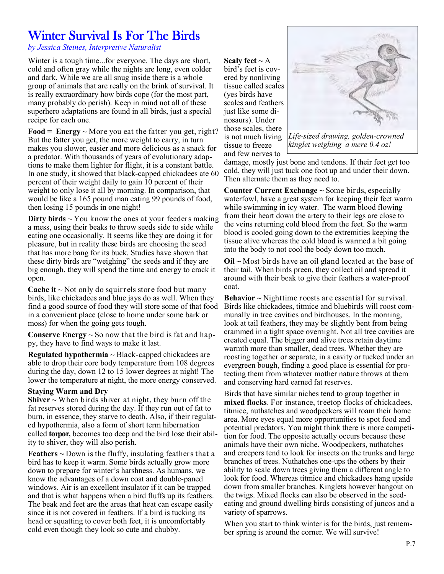# Winter Survival Is For The Birds

*by Jessica Steines, Interpretive Naturalist* 

Winter is a tough time...for everyone. The days are short, cold and often gray while the nights are long, even colder and dark. While we are all snug inside there is a whole group of animals that are really on the brink of survival. It is really extraordinary how birds cope (for the most part, many probably do perish). Keep in mind not all of these superhero adaptations are found in all birds, just a special recipe for each one.

**Food = Energy**  $\sim$  More you eat the fatter you get, right? But the fatter you get, the more weight to carry, in turn makes you slower, easier and more delicious as a snack for a predator. With thousands of years of evolutionary adaptions to make them lighter for flight, it is a constant battle. In one study, it showed that black-capped chickadees ate 60 percent of their weight daily to gain 10 percent of their weight to only lose it all by morning. In comparison, that would be like a 165 pound man eating 99 pounds of food, then losing 15 pounds in one night!

**Dirty birds** ~ You know the ones at your feeders making a mess, using their beaks to throw seeds side to side while eating one occasionally. It seems like they are doing it for pleasure, but in reality these birds are choosing the seed that has more bang for its buck. Studies have shown that these dirty birds are "weighing" the seeds and if they are big enough, they will spend the time and energy to crack it open.

**Cache it**  $\sim$  Not only do squirrels store food but many birds, like chickadees and blue jays do as well. When they find a good source of food they will store some of that food in a convenient place (close to home under some bark or moss) for when the going gets tough.

**Conserve Energy**  $\sim$  So now that the bird is fat and happy, they have to find ways to make it last.

**Regulated hypothermia** ~ Black-capped chickadees are able to drop their core body temperature from 108 degrees during the day, down 12 to 15 lower degrees at night! The lower the temperature at night, the more energy conserved.

## **Staying Warm and Dry**

**Shiver ~** When birds shiver at night, they burn off the fat reserves stored during the day. If they run out of fat to burn, in essence, they starve to death. Also, if their regulated hypothermia, also a form of short term hibernation called **torpor,** becomes too deep and the bird lose their ability to shiver, they will also perish.

**Feathers ~** Down is the fluffy, insulating feathers that a bird has to keep it warm. Some birds actually grow more down to prepare for winter's harshness. As humans, we know the advantages of a down coat and double-paned windows. Air is an excellent insulator if it can be trapped and that is what happens when a bird fluffs up its feathers. The beak and feet are the areas that heat can escape easily since it is not covered in feathers. If a bird is tucking its head or squatting to cover both feet, it is uncomfortably cold even though they look so cute and chubby.

**Scaly feet**  $\sim$  **A** bird's feet is covered by nonliving tissue called scales (yes birds have scales and feathers just like some dinosaurs). Under those scales, there is not much living tissue to freeze and few nerves to



*Life-sized drawing, golden-crowned kinglet weighing a mere 0.4 oz!* 

damage, mostly just bone and tendons. If their feet get too cold, they will just tuck one foot up and under their down. Then alternate them as they need to.

**Counter Current Exchange ~** Some birds, especially waterfowl, have a great system for keeping their feet warm while swimming in icy water. The warm blood flowing from their heart down the artery to their legs are close to the veins returning cold blood from the feet. So the warm blood is cooled going down to the extremities keeping the tissue alive whereas the cold blood is warmed a bit going into the body to not cool the body down too much.

**Oil ~** Most birds have an oil gland located at the base of their tail. When birds preen, they collect oil and spread it around with their beak to give their feathers a water-proof coat.

**Behavior ~** Nighttime roosts are essential for survival. Birds like chickadees, titmice and bluebirds will roost communally in tree cavities and birdhouses. In the morning, look at tail feathers, they may be slightly bent from being crammed in a tight space overnight. Not all tree cavities are created equal. The bigger and alive trees retain daytime warmth more than smaller, dead trees. Whether they are roosting together or separate, in a cavity or tucked under an evergreen bough, finding a good place is essential for protecting them from whatever mother nature throws at them and conserving hard earned fat reserves.

Birds that have similar niches tend to group together in **mixed flocks**. For instance, treetop flocks of chickadees, titmice, nuthatches and woodpeckers will roam their home area. More eyes equal more opportunities to spot food and potential predators. You might think there is more competition for food. The opposite actually occurs because these animals have their own niche. Woodpeckers, nuthatches and creepers tend to look for insects on the trunks and large branches of trees. Nuthatches one-ups the others by their ability to scale down trees giving them a different angle to look for food. Whereas titmice and chickadees hang upside down from smaller branches. Kinglets however hangout on the twigs. Mixed flocks can also be observed in the seedeating and ground dwelling birds consisting of juncos and a variety of sparrows.

When you start to think winter is for the birds, just remember spring is around the corner. We will survive!